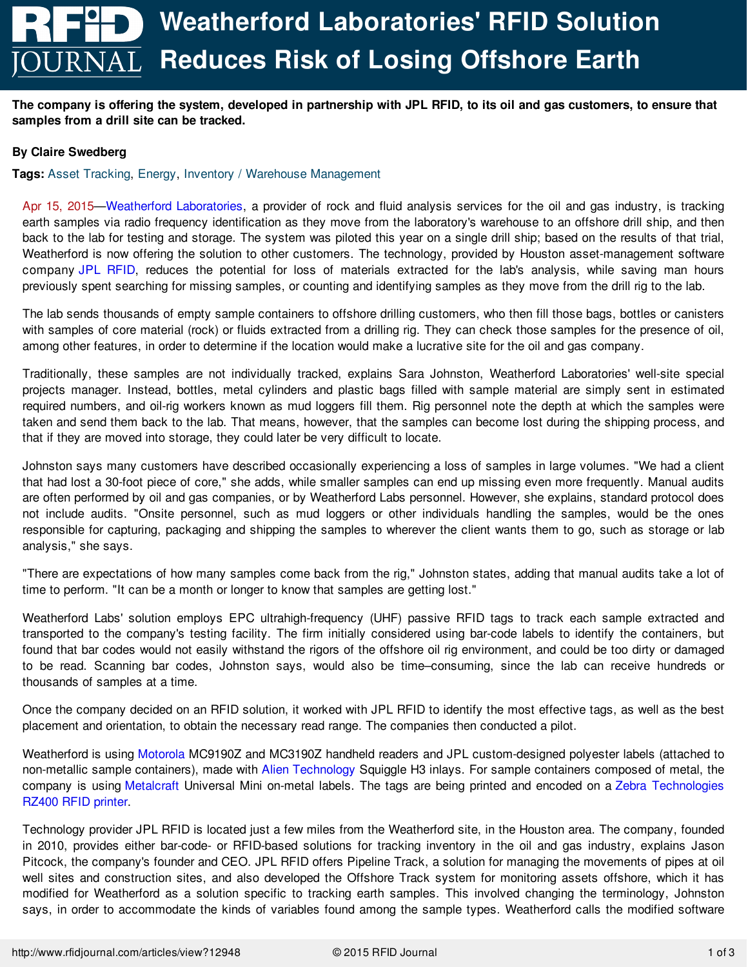The company is offering the system, developed in partnership with JPL RFID, to its oil and gas customers, to ensure that **samples from a drill site can be tracked.**

## **By Claire Swedberg**

**Tags:** Asset [Tracking](http://www.rfidjournal.com/asset-tracking), [Energy](http://www.rfidjournal.com/energy), Inventory / Warehouse [Management](http://www.rfidjournal.com/inventory-warehouse-management)

Apr 15, 2015[—Weatherford](http://www.weatherfordlabs.com) Laboratories, a provider of rock and fluid analysis services for the oil and gas industry, is tracking earth samples via radio frequency identification as they move from the laboratory's warehouse to an offshore drill ship, and then back to the lab for testing and storage. The system was piloted this year on a single drill ship; based on the results of that trial, Weatherford is now offering the solution to other customers. The technology, provided by Houston asset-management software company JPL [RFID](http://www.jplrfid.com), reduces the potential for loss of materials extracted for the lab's analysis, while saving man hours previously spent searching for missing samples, or counting and identifying samples as they move from the drill rig to the lab.

The lab sends thousands of empty sample containers to offshore drilling customers, who then fill those bags, bottles or canisters with samples of core material (rock) or fluids extracted from a drilling rig. They can check those samples for the presence of oil, among other features, in order to determine if the location would make a lucrative site for the oil and gas company.

Traditionally, these samples are not individually tracked, explains Sara Johnston, Weatherford Laboratories' well-site special projects manager. Instead, bottles, metal cylinders and plastic bags filled with sample material are simply sent in estimated required numbers, and oil-rig workers known as mud loggers fill them. Rig personnel note the depth at which the samples were taken and send them back to the lab. That means, however, that the samples can become lost during the shipping process, and that if they are moved into storage, they could later be very difficult to locate.

Johnston says many customers have described occasionally experiencing a loss of samples in large volumes. "We had a client that had lost a 30-foot piece of core," she adds, while smaller samples can end up missing even more frequently. Manual audits are often performed by oil and gas companies, or by Weatherford Labs personnel. However, she explains, standard protocol does not include audits. "Onsite personnel, such as mud loggers or other individuals handling the samples, would be the ones responsible for capturing, packaging and shipping the samples to wherever the client wants them to go, such as storage or lab analysis," she says.

"There are expectations of how many samples come back from the rig," Johnston states, adding that manual audits take a lot of time to perform. "It can be a month or longer to know that samples are getting lost."

Weatherford Labs' solution employs EPC ultrahigh-frequency (UHF) passive RFID tags to track each sample extracted and transported to the company's testing facility. The firm initially considered using bar-code labels to identify the containers, but found that bar codes would not easily withstand the rigors of the offshore oil rig environment, and could be too dirty or damaged to be read. Scanning bar codes, Johnston says, would also be time–consuming, since the lab can receive hundreds or thousands of samples at a time.

Once the company decided on an RFID solution, it worked with JPL RFID to identify the most effective tags, as well as the best placement and orientation, to obtain the necessary read range. The companies then conducted a pilot.

Weatherford is using [Motorola](http://www.motorolasolutions.com) MC9190Z and MC3190Z handheld readers and JPL custom-designed polyester labels (attached to non-metallic sample containers), made with Alien [Technology](http://www.alientechnology.com) Squiggle H3 inlays. For sample containers composed of metal, the company is using [Metalcraft](http://www.idplate.com) Universal Mini on-metal labels. The tags are being printed and encoded on a Zebra [Technologies](http://www.zebra.com) [RZ400](http://www.rfidconnect.com/ProductDetails.aspx?id=4ad6359f-3610-4962-80a3-ff5c91a7504c) RFID printer.

Technology provider JPL RFID is located just a few miles from the Weatherford site, in the Houston area. The company, founded in 2010, provides either bar-code- or RFID-based solutions for tracking inventory in the oil and gas industry, explains Jason Pitcock, the [company's](file:///articles/view?12948) founder and CEO. JPL RFID offers Pipeline Track, a solution for managing the movements of pipes at oil well sites and construction sites, and also developed the Offshore Track system for monitoring assets offshore, which it has modified for Weatherford as a solution specific to tracking earth samples. This involved changing the terminology, Johnston says, in order to accommodate the kinds of variables found among the sample types. Weatherford calls the modified software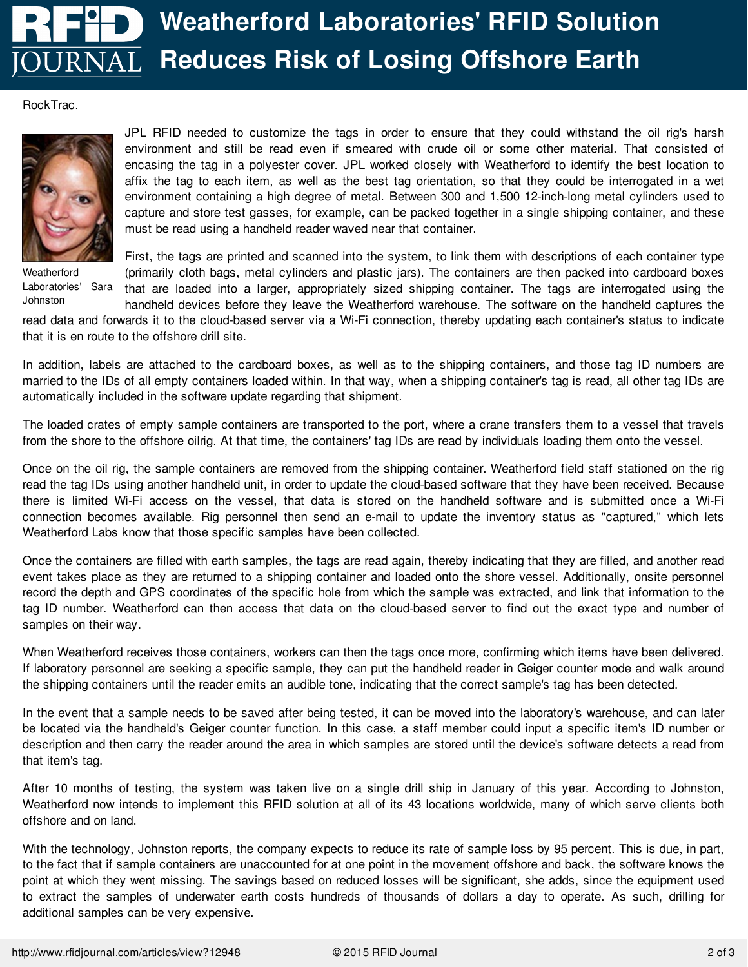## **Weatherford [Laboratories'](/articles/view?10425) RFID Solution DURNAL Reduces Risk of Losing Offshore Earth**

## RockTrac.



**Weatherford** Laboratories' Sara Johnston

JPL RFID needed to customize the tags in order to ensure that they could withstand the oil rig's harsh environment and still be read even if smeared with crude oil or some other material. That consisted of encasing the tag in a polyester cover. JPL worked closely with Weatherford to identify the best location to affix the tag to each item, as well as the best tag orientation, so that they could be interrogated in a wet environment containing a high degree of metal. Between 300 and 1,500 12-inch-long metal cylinders used to capture and store test gasses, for example, can be packed together in a single shipping container, and these must be read using a handheld reader waved near that container.

First, the tags are printed and scanned into the system, to link them with descriptions of each container type (primarily cloth bags, metal cylinders and plastic jars). The containers are then packed into cardboard boxes that are loaded into a larger, appropriately sized shipping container. The tags are interrogated using the handheld devices before they leave the Weatherford warehouse. The software on the handheld captures the

read data and forwards it to the cloud-based server via a Wi-Fi connection, thereby updating each container's status to indicate that it is en route to the offshore drill site.

In addition, labels are attached to the cardboard boxes, as well as to the shipping containers, and those tag ID numbers are married to the IDs of all empty containers loaded within. In that way, when a shipping container's tag is read, all other tag IDs are automatically included in the software update regarding that shipment.

The loaded crates of empty sample containers are transported to the port, where a crane transfers them to a vessel that travels from the shore to the offshore oilrig. At that time, the containers' tag IDs are read by individuals loading them onto the vessel.

Once on the oil rig, the sample containers are removed from the shipping container. Weatherford field staff stationed on the rig read the tag IDs using another handheld unit, in order to update the cloud-based software that they have been received. Because there is limited Wi-Fi access on the vessel, that data is stored on the handheld software and is submitted once a Wi-Fi connection becomes available. Rig personnel then send an e-mail to update the inventory status as "captured," which lets Weatherford Labs know that those specific samples have been collected.

Once the containers are filled with earth samples, the tags are read again, thereby indicating that they are filled, and another read event takes place as they are returned to a shipping container and loaded onto the shore vessel. Additionally, onsite personnel record the depth and GPS coordinates of the specific hole from which the sample was extracted, and link that information to the tag ID number. Weatherford can then access that data on the cloud-based server to find out the exact type and number of samples on their way.

When Weatherford receives those containers, workers can then the tags once more, confirming which items have been delivered. If laboratory personnel are seeking a specific sample, they can put the handheld reader in Geiger counter mode and walk around the shipping containers until the reader emits an audible tone, indicating that the correct sample's tag has been detected.

In the event that a sample needs to be saved after being tested, it can be moved into the laboratory's warehouse, and can later be located via the handheld's Geiger counter function. In this case, a staff member could input a specific item's ID number or description and then carry the reader around the area in which samples are stored until the device's software detects a read from that item's tag.

After 10 months of testing, the system was taken live on a single drill ship in January of this year. According to Johnston, Weatherford now intends to implement this RFID solution at all of its 43 locations worldwide, many of which serve clients both offshore and on land.

With the [technology,](file:///articles/view?12948) Johnston reports, the company expects to reduce its rate of sample loss by 95 percent. This is due, in part, to the fact that if sample containers are unaccounted for at one point in the movement offshore and back, the software knows the point at which they went missing. The savings based on reduced losses will be significant, she adds, since the equipment used to extract the samples of underwater earth costs hundreds of thousands of dollars a day to operate. As such, drilling for additional samples can be very expensive.